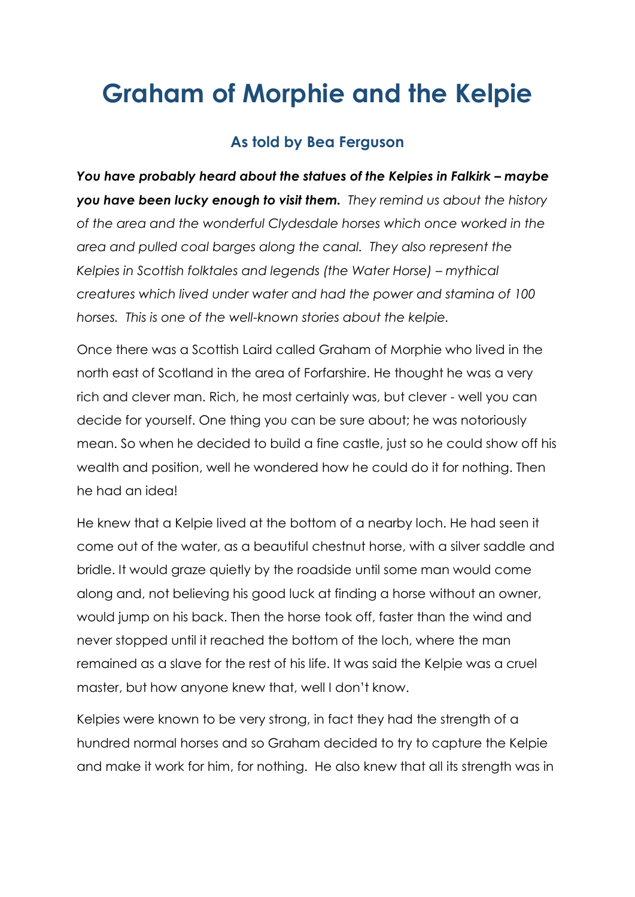## **Graham of Morphie and the Kelpie**

## **As told by Bea Ferguson**

*You have probably heard about the statues of the Kelpies in Falkirk – maybe you have been lucky enough to visit them. They remind us about the history of the area and the wonderful Clydesdale horses which once worked in the area and pulled coal barges along the canal. They also represent the Kelpies in Scottish folktales and legends (the Water Horse) – mythical creatures which lived under water and had the power and stamina of 100 horses. This is one of the well-known stories about the kelpie.* 

Once there was a Scottish Laird called Graham of Morphie who lived in the north east of Scotland in the area of Forfarshire. He thought he was a very rich and clever man. Rich, he most certainly was, but clever - well you can decide for yourself. One thing you can be sure about; he was notoriously mean. So when he decided to build a fine castle, just so he could show off his wealth and position, well he wondered how he could do it for nothing. Then he had an idea!

He knew that a Kelpie lived at the bottom of a nearby loch. He had seen it come out of the water, as a beautiful chestnut horse, with a silver saddle and bridle. It would graze quietly by the roadside until some man would come along and, not believing his good luck at finding a horse without an owner, would jump on his back. Then the horse took off, faster than the wind and never stopped until it reached the bottom of the loch, where the man remained as a slave for the rest of his life. It was said the Kelpie was a cruel master, but how anyone knew that, well I don't know.

Kelpies were known to be very strong, in fact they had the strength of a hundred normal horses and so Graham decided to try to capture the Kelpie and make it work for him, for nothing. He also knew that all its strength was in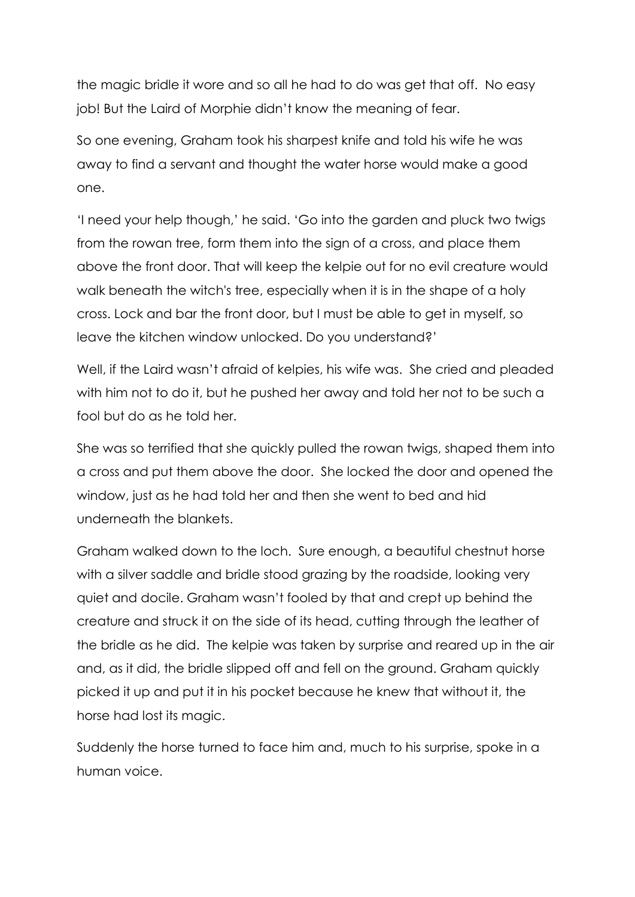the magic bridle it wore and so all he had to do was get that off. No easy job! But the Laird of Morphie didn't know the meaning of fear.

So one evening, Graham took his sharpest knife and told his wife he was away to find a servant and thought the water horse would make a good one.

'I need your help though,' he said. 'Go into the garden and pluck two twigs from the rowan tree, form them into the sign of a cross, and place them above the front door. That will keep the kelpie out for no evil creature would walk beneath the witch's tree, especially when it is in the shape of a holy cross. Lock and bar the front door, but I must be able to get in myself, so leave the kitchen window unlocked. Do you understand?'

Well, if the Laird wasn't afraid of kelpies, his wife was. She cried and pleaded with him not to do it, but he pushed her away and told her not to be such a fool but do as he told her.

She was so terrified that she quickly pulled the rowan twigs, shaped them into a cross and put them above the door. She locked the door and opened the window, just as he had told her and then she went to bed and hid underneath the blankets.

Graham walked down to the loch. Sure enough, a beautiful chestnut horse with a silver saddle and bridle stood grazing by the roadside, looking very quiet and docile. Graham wasn't fooled by that and crept up behind the creature and struck it on the side of its head, cutting through the leather of the bridle as he did. The kelpie was taken by surprise and reared up in the air and, as it did, the bridle slipped off and fell on the ground. Graham quickly picked it up and put it in his pocket because he knew that without it, the horse had lost its magic.

Suddenly the horse turned to face him and, much to his surprise, spoke in a human voice.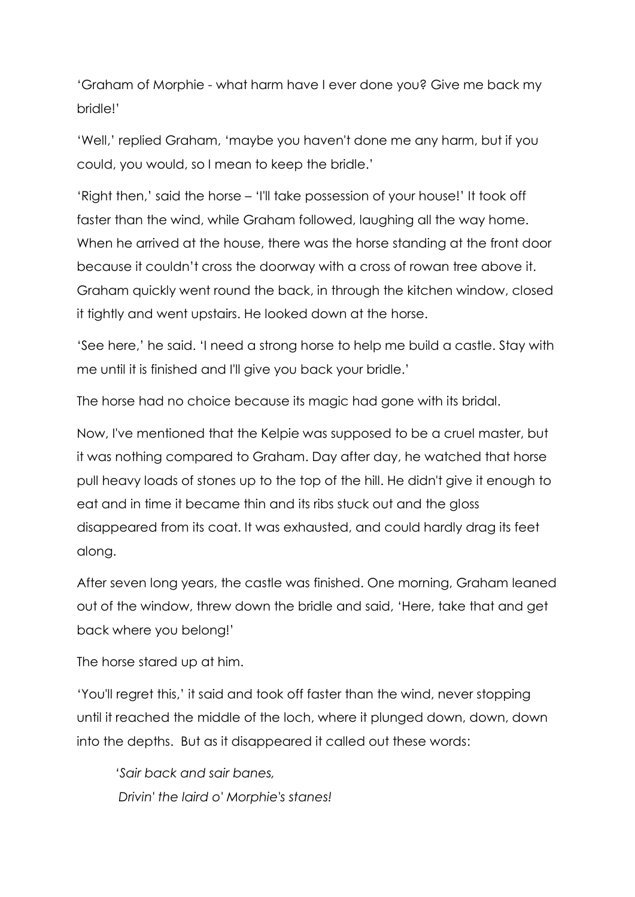'Graham of Morphie - what harm have I ever done you? Give me back my bridle!'

'Well,' replied Graham, 'maybe you haven't done me any harm, but if you could, you would, so I mean to keep the bridle.'

'Right then,' said the horse – 'I'll take possession of your house!' It took off faster than the wind, while Graham followed, laughing all the way home. When he arrived at the house, there was the horse standing at the front door because it couldn't cross the doorway with a cross of rowan tree above it. Graham quickly went round the back, in through the kitchen window, closed it tightly and went upstairs. He looked down at the horse.

'See here,' he said. 'I need a strong horse to help me build a castle. Stay with me until it is finished and I'll give you back your bridle.'

The horse had no choice because its magic had gone with its bridal.

Now, I've mentioned that the Kelpie was supposed to be a cruel master, but it was nothing compared to Graham. Day after day, he watched that horse pull heavy loads of stones up to the top of the hill. He didn't give it enough to eat and in time it became thin and its ribs stuck out and the gloss disappeared from its coat. It was exhausted, and could hardly drag its feet along.

After seven long years, the castle was finished. One morning, Graham leaned out of the window, threw down the bridle and said, 'Here, take that and get back where you belong!'

The horse stared up at him.

'You'll regret this,' it said and took off faster than the wind, never stopping until it reached the middle of the loch, where it plunged down, down, down into the depths. But as it disappeared it called out these words:

*'Sair back and sair banes, Drivin' the laird o' Morphie's stanes!*